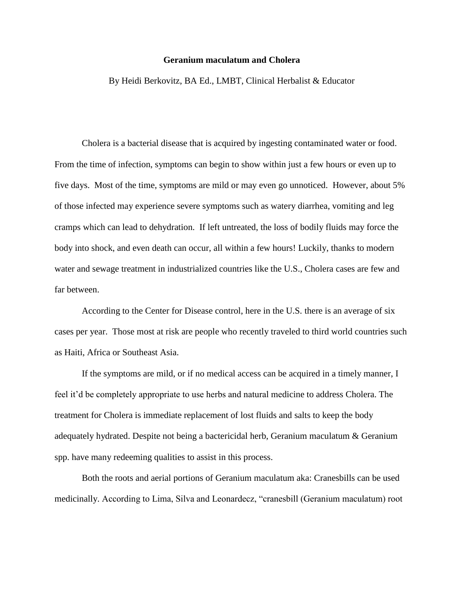## **Geranium maculatum and Cholera**

By Heidi Berkovitz, BA Ed., LMBT, Clinical Herbalist & Educator

Cholera is a bacterial disease that is acquired by ingesting contaminated water or food. From the time of infection, symptoms can begin to show within just a few hours or even up to five days. Most of the time, symptoms are mild or may even go unnoticed. However, about 5% of those infected may experience severe symptoms such as watery diarrhea, vomiting and leg cramps which can lead to dehydration. If left untreated, the loss of bodily fluids may force the body into shock, and even death can occur, all within a few hours! Luckily, thanks to modern water and sewage treatment in industrialized countries like the U.S., Cholera cases are few and far between.

According to the Center for Disease control, here in the U.S. there is an average of six cases per year. Those most at risk are people who recently traveled to third world countries such as Haiti, Africa or Southeast Asia.

If the symptoms are mild, or if no medical access can be acquired in a timely manner, I feel it'd be completely appropriate to use herbs and natural medicine to address Cholera. The treatment for Cholera is immediate replacement of lost fluids and salts to keep the body adequately hydrated. Despite not being a bactericidal herb, Geranium maculatum & Geranium spp. have many redeeming qualities to assist in this process.

Both the roots and aerial portions of Geranium maculatum aka: Cranesbills can be used medicinally. According to Lima, Silva and Leonardecz, "cranesbill (Geranium maculatum) root